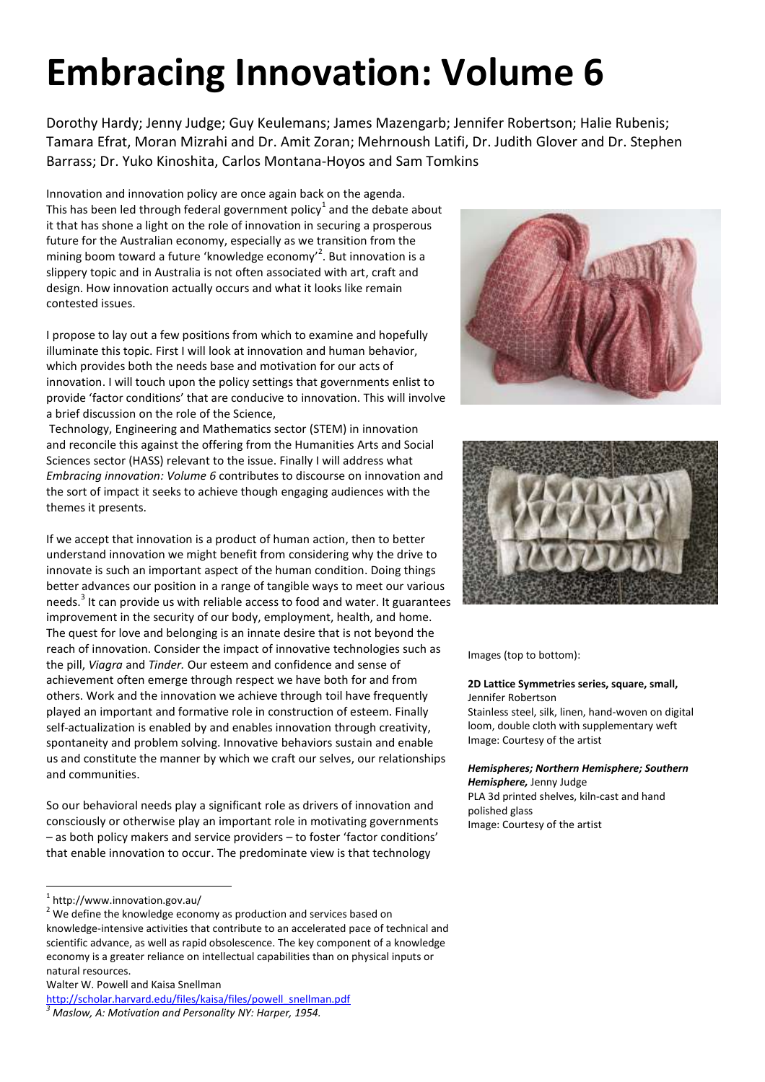# **Embracing Innovation: Volume 6**

Dorothy Hardy; Jenny Judge; Guy Keulemans; James Mazengarb; Jennifer Robertson; Halie Rubenis; Tamara Efrat, Moran Mizrahi and Dr. Amit Zoran; Mehrnoush Latifi, Dr. Judith Glover and Dr. Stephen Barrass; Dr. Yuko Kinoshita, Carlos Montana-Hoyos and Sam Tomkins

Innovation and innovation policy are once again back on the agenda. This has been led through federal government policy $^1$  and the debate about it that has shone a light on the role of innovation in securing a prosperous future for the Australian economy, especially as we transition from the mining boom toward a future 'knowledge economy'<sup>2</sup>. But innovation is a slippery topic and in Australia is not often associated with art, craft and design. How innovation actually occurs and what it looks like remain contested issues.

I propose to lay out a few positions from which to examine and hopefully illuminate this topic. First I will look at innovation and human behavior, which provides both the needs base and motivation for our acts of innovation. I will touch upon the policy settings that governments enlist to provide 'factor conditions' that are conducive to innovation. This will involve a brief discussion on the role of the Science,

 Technology, Engineering and Mathematics sector (STEM) in innovation and reconcile this against the offering from the Humanities Arts and Social Sciences sector (HASS) relevant to the issue. Finally I will address what *Embracing innovation: Volume 6* contributes to discourse on innovation and the sort of impact it seeks to achieve though engaging audiences with the themes it presents.

If we accept that innovation is a product of human action, then to better understand innovation we might benefit from considering why the drive to innovate is such an important aspect of the human condition. Doing things better advances our position in a range of tangible ways to meet our various needs.<sup>3</sup> It can provide us with reliable access to food and water. It guarantees improvement in the security of our body, employment, health, and home. The quest for love and belonging is an innate desire that is not beyond the reach of innovation. Consider the impact of innovative technologies such as the pill, *Viagra* and *Tinder.* Our esteem and confidence and sense of achievement often emerge through respect we have both for and from others. Work and the innovation we achieve through toil have frequently played an important and formative role in construction of esteem. Finally self-actualization is enabled by and enables innovation through creativity, spontaneity and problem solving. Innovative behaviors sustain and enable us and constitute the manner by which we craft our selves, our relationships and communities.

So our behavioral needs play a significant role as drivers of innovation and consciously or otherwise play an important role in motivating governments – as both policy makers and service providers – to foster 'factor conditions' that enable innovation to occur. The predominate view is that technology

Walter W. Powell and Kaisa Snellman





Images (top to bottom):

#### **2D Lattice Symmetries series, square, small,**  Jennifer Robertson

Stainless steel, silk, linen, hand-woven on digital loom, double cloth with supplementary weft Image: Courtesy of the artist

### *Hemispheres; Northern Hemisphere; Southern Hemisphere,* Jenny Judge

PLA 3d printed shelves, kiln-cast and hand polished glass Image: Courtesy of the artist

<sup>1</sup> http://www.innovation.gov.au/

 $2$  We define the knowledge economy as production and services based on knowledge-intensive activities that contribute to an accelerated pace of technical and scientific advance, as well as rapid obsolescence. The key component of a knowledge economy is a greater reliance on intellectual capabilities than on physical inputs or natural resources.

[http://scholar.harvard.edu/files/kaisa/files/powell\\_snellman.pdf](http://scholar.harvard.edu/files/kaisa/files/powell_snellman.pdf) *3 Maslow, A: Motivation and Personality NY: Harper, 1954.*